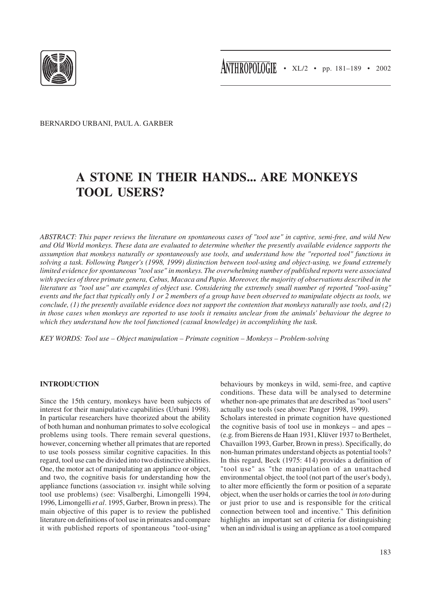

BERNARDO URBANI, PAUL A. GARBER

# **A STONE IN THEIR HANDS... ARE MONKEYS TOOL USERS?**

*ABSTRACT: This paper reviews the literature on spontaneous cases of "tool use" in captive, semi-free, and wild New and Old World monkeys. These data are evaluated to determine whether the presently available evidence supports the assumption that monkeys naturally or spontaneously use tools, and understand how the "reported tool" functions in solving a task. Following Panger's (1998, 1999) distinction between tool-using and object-using, we found extremely limited evidence for spontaneous "tool use" in monkeys. The overwhelming number of published reports were associated with species of three primate genera, Cebus, Macaca and Papio. Moreover, the majority of observations described in the literature as "tool use" are examples of object use. Considering the extremely small number of reported "tool-using" events and the fact that typically only 1 or 2 members of a group have been observed to manipulate objects as tools, we conclude, (1) the presently available evidence does not support the contention that monkeys naturally use tools, and (2) in those cases when monkeys are reported to use tools it remains unclear from the animals' behaviour the degree to which they understand how the tool functioned (casual knowledge) in accomplishing the task.*

*KEY WORDS: Tool use – Object manipulation – Primate cognition – Monkeys – Problem-solving*

## **INTRODUCTION**

Since the 15th century, monkeys have been subjects of interest for their manipulative capabilities (Urbani 1998). In particular researchers have theorized about the ability of both human and nonhuman primates to solve ecological problems using tools. There remain several questions, however, concerning whether all primates that are reported to use tools possess similar cognitive capacities. In this regard, tool use can be divided into two distinctive abilities. One, the motor act of manipulating an appliance or object, and two, the cognitive basis for understanding how the appliance functions (association *vs.* insight while solving tool use problems) (see: Visalberghi, Limongelli 1994, 1996, Limongelli *et al*. 1995, Garber, Brown in press). The main objective of this paper is to review the published literature on definitions of tool use in primates and compare it with published reports of spontaneous "tool-using"

behaviours by monkeys in wild, semi-free, and captive conditions. These data will be analysed to determine whether non-ape primates that are described as "tool users" actually use tools (see above: Panger 1998, 1999).

Scholars interested in primate cognition have questioned the cognitive basis of tool use in monkeys – and apes – (e.g. from Bierens de Haan 1931, Klüver 1937 to Berthelet, Chavaillon 1993, Garber, Brown in press). Specifically, do non-human primates understand objects as potential tools? In this regard, Beck (1975: 414) provides a definition of "tool use" as "the manipulation of an unattached environmental object, the tool (not part of the user's body), to alter more efficiently the form or position of a separate object, when the user holds or carries the tool *in toto* during or just prior to use and is responsible for the critical connection between tool and incentive." This definition highlights an important set of criteria for distinguishing when an individual is using an appliance as a tool compared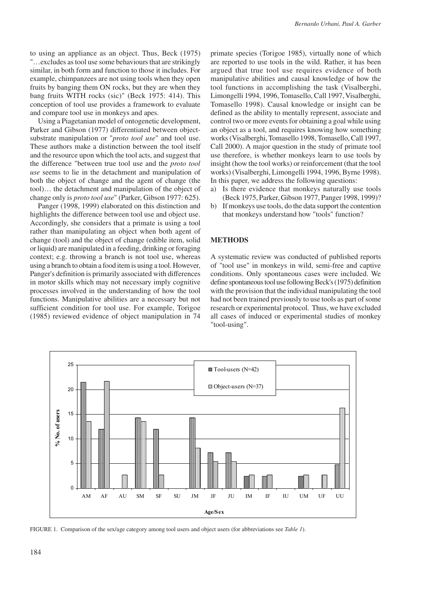to using an appliance as an object. Thus, Beck (1975) "…excludes as tool use some behaviours that are strikingly similar, in both form and function to those it includes. For example, chimpanzees are not using tools when they open fruits by banging them ON rocks, but they are when they bang fruits WITH rocks (sic)" (Beck 1975: 414). This conception of tool use provides a framework to evaluate and compare tool use in monkeys and apes.

Using a Piagetanian model of ontogenetic development, Parker and Gibson (1977) differentiated between objectsubstrate manipulation or "*proto tool use*" and tool use. These authors make a distinction between the tool itself and the resource upon which the tool acts, and suggest that the difference "between true tool use and the *proto tool use* seems to lie in the detachment and manipulation of both the object of change and the agent of change (the tool)… the detachment and manipulation of the object of change only is *proto tool use*" (Parker, Gibson 1977: 625).

Panger (1998, 1999) elaborated on this distinction and highlights the difference between tool use and object use. Accordingly, she considers that a primate is using a tool rather than manipulating an object when both agent of change (tool) and the object of change (edible item, solid or liquid) are manipulated in a feeding, drinking or foraging context; e.g. throwing a branch is not tool use, whereas using a branch to obtain a food item is using a tool. However, Panger's definition is primarily associated with differences in motor skills which may not necessary imply cognitive processes involved in the understanding of how the tool functions. Manipulative abilities are a necessary but not sufficient condition for tool use. For example, Torigoe (1985) reviewed evidence of object manipulation in 74

primate species (Torigoe 1985), virtually none of which are reported to use tools in the wild. Rather, it has been argued that true tool use requires evidence of both manipulative abilities and causal knowledge of how the tool functions in accomplishing the task (Visalberghi, Limongelli 1994, 1996, Tomasello, Call 1997, Visalberghi, Tomasello 1998). Causal knowledge or insight can be defined as the ability to mentally represent, associate and control two or more events for obtaining a goal while using an object as a tool, and requires knowing how something works (Visalberghi, Tomasello 1998, Tomasello, Call 1997, Call 2000). A major question in the study of primate tool use therefore, is whether monkeys learn to use tools by insight (how the tool works) or reinforcement (that the tool works) (Visalberghi, Limongelli 1994, 1996, Byrne 1998). In this paper, we address the following questions:

- a) Is there evidence that monkeys naturally use tools (Beck 1975, Parker, Gibson 1977, Panger 1998, 1999)?
- b) If monkeys use tools, do the data support the contention that monkeys understand how "tools" function?

### **METHODS**

A systematic review was conducted of published reports of "tool use" in monkeys in wild, semi-free and captive conditions. Only spontaneous cases were included. We define spontaneous tool use following Beck's (1975) definition with the provision that the individual manipulating the tool had not been trained previously to use tools as part of some research or experimental protocol. Thus, we have excluded all cases of induced or experimental studies of monkey "tool-using".



FIGURE 1. Comparison of the sex/age category among tool users and object users (for abbreviations see *Table 1*).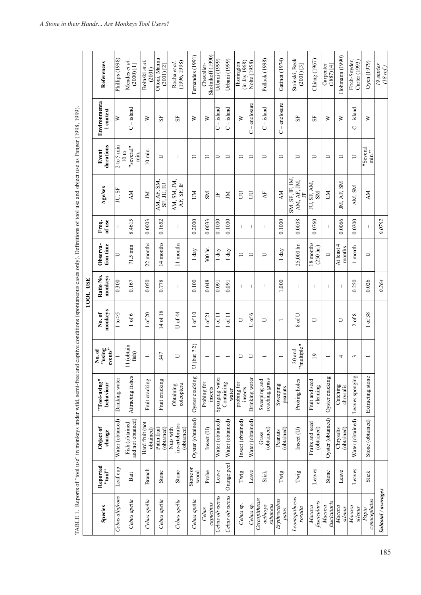|                                       |                                        | TABLE 1. Reports of "tool use" in monkeys under wild, semi-free and captive conditions (spontaneous cases only). Definitions of tool use and object use as Panger (1998, 1999). |                                |                             |                    | TOOL USE                 |                                  |                          |                                                |                               |                                  |                                 |
|---------------------------------------|----------------------------------------|---------------------------------------------------------------------------------------------------------------------------------------------------------------------------------|--------------------------------|-----------------------------|--------------------|--------------------------|----------------------------------|--------------------------|------------------------------------------------|-------------------------------|----------------------------------|---------------------------------|
| Species                               | Reported<br>"tool"                     | Object of<br>change                                                                                                                                                             | "Tool-using"<br>behaviour      | No. of<br>"using<br>events" | monkeys<br>No.of   | Ratio No.<br>monkeys     | tion time<br>Observa-            | Freq.<br>of use          | Age/sex                                        | durations<br>Event            | Environmenta<br><b>l</b> context | References                      |
| Cebus albifrons                       | Leaf cup                               | Water (obtained)                                                                                                                                                                | Drinking water                 |                             | 1 to > 5           | 0.300                    | コ                                |                          | JU, SF                                         | $2 \text{ to } 5 \text{ min}$ | ≽                                | Phillips (1998)                 |
| Cebus apella                          | Bait                                   | and not obtained)<br>Fish (obtained                                                                                                                                             | Attracting fishes              | 11 (obtain<br>fish)         | of 6               | 0.167                    | $71.5 \text{ min}$               | 8.4615                   | <b>NN</b>                                      | "several"<br>10 to<br>min     | $-$ island<br>Ō                  | Mendes et al.<br>$(2000)$ [1]   |
| Cebus apella                          | Branch                                 | Hard fruit (not<br>obtained)                                                                                                                                                    | Fruit cracking                 |                             | of 20              | 0.050                    | 22 months                        | 0.0003                   | N                                              | $10$ min.                     | ≥                                | Boinski et al.<br>(2001)        |
| Cebus apella                          | Stone                                  | Palm fruit<br>(obtained)                                                                                                                                                        | Fruit cracking                 | 347                         | 14 of 18           | 0.778                    | 14 months                        | 0.1652                   | AM, AF, SM,<br>SF, JU, IU                      | コ                             | $S_{\rm F}$                      | Ottoni, Mannu<br>$(2001)$ [2]   |
| Cebus apella                          | Stone                                  | invertebrates<br>(obtained)<br>Nuts with                                                                                                                                        | Obtaining<br>coleoptera        | コ                           | U of 44            | $\mathbf{I}$             | 11 months                        | I                        | AM, SM, JM,<br>AF, SF, IF                      | L                             | ${\rm S}$                        | (1996, 1998)<br>Rocha et al.    |
| Cebus apella                          | Stone or<br>wood                       | Oyster (obtained)                                                                                                                                                               | Oyster cracking                | U (but ? 2)                 | 1 of 10            | 0.100                    | 1 day                            | 0.2000                   | ŠД                                             | $\cup$                        | ⋗                                | Fernandes (1991)                |
| capucinus<br>Cebus                    | Probe                                  | Insert(U)                                                                                                                                                                       | Probing for<br>insects         |                             | $1$ of $21$        | 0.048                    | 300 hr.                          | 0.0033                   | <b>NS</b>                                      | $\Box$                        | $\geq$                           | Skolnikoff (1990)<br>Chevalier- |
| Cebus olivaceus                       | Leave                                  | Water (obtained)                                                                                                                                                                | Sponging water                 |                             | $1$ of $11$        | 0.091                    | $1$ day                          | 0.1000                   | 占                                              | コ                             | $-$ island<br>Õ                  | Urbani (1999)                   |
| Cebus olivaceus                       | Orange peel                            | Water (obtained)                                                                                                                                                                | Containing<br>water            |                             | of 11              | 0.091                    | 1 day                            | 0.1000                   | $\overline{M}$                                 | $\cup$                        | $C -$ island                     | Urbani (1999)                   |
| Cebus sp.                             | $\mathbf{T}\mathbf{w}\mathbf{g}$       | Insect (obtained)                                                                                                                                                               | probing for<br>insects         | コ                           | $\overline{\cup}$  | $\mathbf{I}$             | D                                |                          | UU                                             | J                             | ≽                                | (in Jay 1968)<br>Thorington     |
| Cebus sp.                             | Leave                                  | Water (obtained)                                                                                                                                                                | Drinking water                 | ⊐                           | U of 6             |                          | ⊃                                |                          | E                                              | ⊃                             | $-enclosure$<br>Ò                | Nolte (1958)                    |
| Cercopithecus<br>sabaneus<br>aethiops | Stick                                  | (obtained)<br>Grass                                                                                                                                                             | Sweeping and<br>reaching grass |                             | コ                  |                          | Þ                                |                          | $\overline{A}$                                 | コ                             | $C -$ island                     | Pollack (1998)                  |
| Erythrocebus<br>patas                 | $\mathbf{T}\mathbf{w}\mathbf{\dot{g}}$ | (obtained)<br>Peanuts                                                                                                                                                           | Sweeping<br>peanuts            |                             |                    | 1.000                    | 1 day                            | 0.1000                   | <b>AM</b>                                      | コ                             | $-enclosure$<br>$\cup$           | Gatinot (1974)                  |
| Leontopithecus<br>rosalia             | $\Gamma$ wig                           | Insert(U)                                                                                                                                                                       | Probing holes                  | "multiple"<br>$20$ and      | of U<br>$^{\circ}$ | $\mathbf{I}$             | 25,000 hr.                       | 0.0008                   | SM, SF, IF, IM,<br>AM, AF, JM,<br>$\mathbb{H}$ | コ                             | 55                               | Stoinski, Beck<br>(2001) [3]    |
| fascicularis<br>Macaca                | Leaves                                 | Fruits and seed<br>(obtained)                                                                                                                                                   | Fruit and seed<br>cleaning     | $\overline{19}$             | Þ                  | $\mathsf{I}$             | 18 months<br>$(250 \text{ hr.})$ | 0.0760                   | JU, SF, AM,<br>ŠМ                              | Þ                             | 55                               | Chiang (1967)                   |
| fascicularis<br>Macaca                | Stone                                  | Oyster (obtained)                                                                                                                                                               | Oyster cracking                |                             |                    | $\overline{\phantom{a}}$ | $\Box$                           | $\overline{\phantom{a}}$ | ŠЯ                                             | $\Box$                        | ⋗                                | Carpenter<br>$(1887)$ [4]       |
| Macaca<br>silenus                     | Leave                                  | (obtained)<br>Chrysalis                                                                                                                                                         | Catching<br>chrysalis          | 4                           | Þ                  | $\mathbf{I}$             | At least 4<br>months             | 0.0066                   | IM, AF, SM                                     | $\overline{\phantom{m}}$      | ⋗                                | Hohmam (1990)                   |
| Macaca<br>silenus                     | Leaves                                 | Water (obtained)                                                                                                                                                                | Leaves sponging                | 3                           | of $8$<br>$\sim$   | 0.250                    | month                            | 0.0200                   | AM, SM                                         | $\cup$                        | $-$ island<br>O                  | Fitch-Snyder,<br>Carter (1993)  |
| cynocephalus<br>Papio                 | Stick                                  | Stone (obtained)                                                                                                                                                                | Extracting stone               |                             | 1 of 38            | 0.026                    | $\overline{\phantom{0}}$         |                          | <b>AM</b>                                      | "Several<br>$\frac{1}{2}$     | ≥                                | Oyen (1979)                     |
| Subtotal/averages                     |                                        |                                                                                                                                                                                 |                                |                             |                    | 0.264                    |                                  | 0.0702                   |                                                |                               |                                  | 19 entries<br>$(18 \, ref.)$    |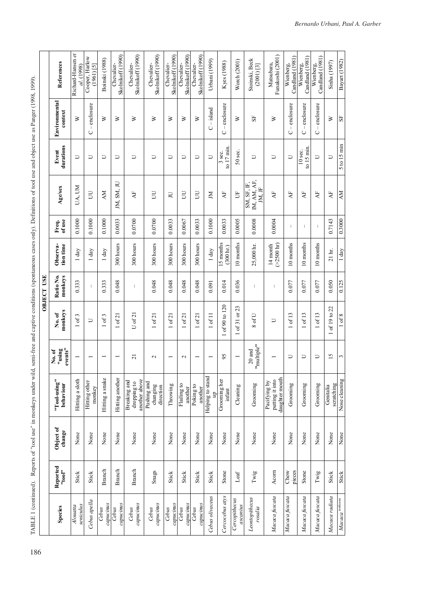TABLE 1 (continued). Reports of "tool use" in monkeys under wild, semi-free and captive conditions (spontaneous cases only). Definitions of tool use and object use as Panger (1998, 1999). TABLE 1 (continued). Reports of "tool use" in monkeys under wild, semi-free and captive conditions (spontaneous cases only). Definitions of tool use and object use as Panger (1998, 1999).

|                   | References                 | Richard-Hansen et<br>al. (1998) | Cooper, Harlow<br>$(1961)$ [5] | Boinski (1988)           | Skolnikoff (1990)<br>Chevalier- | Skolnikoff (1990)<br>Chevalier-              | Skolnikoff (1990)<br>Chevalier-      | Skolnikoff (1990)<br>Chevalier- | Skolnikoff (1990)<br>Chevalier- | Skolnikoff (1990)<br>Chevalier- | Urbani (1999)         | Kyes (1988)                      | Worch (2001)              | Stoinski, Beck<br>(2001) [3]        | Funakoshi (2001)<br>Matsubara,                    | Candland (1981)<br>Wienberg, | Candland $(1981)$<br>Wienberg,  | Candland (1981)<br>Wienberg, | Sinha (1997)            | Bayart (1982)                            |
|-------------------|----------------------------|---------------------------------|--------------------------------|--------------------------|---------------------------------|----------------------------------------------|--------------------------------------|---------------------------------|---------------------------------|---------------------------------|-----------------------|----------------------------------|---------------------------|-------------------------------------|---------------------------------------------------|------------------------------|---------------------------------|------------------------------|-------------------------|------------------------------------------|
|                   | Environmental<br>context   | ≥                               | $-enclosure$<br>Õ              | ⋗                        | ≥                               | ≥                                            | ⋗                                    | ≽                               | ≥                               | ≽                               | $C - i$ sland         | $-enclosure$<br>Õ                | ⋗                         | 55                                  | ≽                                                 | $C$ – enclosure              | $C$ – enclosure                 | $C$ – enclosure              | ≥                       | ${\rm S}$                                |
|                   | durations<br>Event         | J                               | コ                              | D                        | コ                               | J                                            | Þ                                    | Þ                               | $\overline{\cup}$               | $\overline{\phantom{m}}$        | D                     | to 17 min.<br>3 sec.             | 50 sec.                   | コ                                   | Þ                                                 | $\Box$                       | $\frac{15}{2}$ min<br>$10$ sec. | U                            | $\Box$                  | 5 to 15 min                              |
| <b>OBJECT USE</b> | Age/sex                    | UA, UM                          | E                              | ĂМ                       | IM, SM, JU                      | $\overline{A}$                               | E                                    | Ξ                               | Б                               | UU                              | N                     | $\mathbf{A}\mathbf{F}$           | Ë                         | IM, AM, AF,<br>SM, SF, IF<br>JM, JF | $\overline{A}$ F                                  | $\overline{A}$               | AF                              | $\overline{A}$               | $\mathbf{A}\mathbf{F}$  | ÅМ                                       |
|                   | ofuse<br>Freq.             | 0.1000                          | 0.1000                         | 0.1000                   | 0.0033                          | 0.0700                                       | 0.0700                               | 0.0033                          | 0.0067                          | 0.0033                          | 0.1000                | 0.0033                           | 0.0005                    | 0.0008                              | 0.0004                                            | $\mathbf{I}$                 | $\mathbf{I}$                    |                              | 0.7143                  | 0.3000                                   |
|                   | tion time<br>Observa-      | $1$ day                         | 1 day                          | 1 day                    | 300 hours                       | 300 hours                                    | 300 hours                            | 300 hours                       | 300 hours                       | 300 hours                       | 1 day                 | 15 months<br>$(300 \text{ hr.})$ | 10 months                 | 25,000 hr.                          | $(>2500$ hr)<br>14 month                          | 10 months                    | 10 months                       | 10 months                    | 21 hr.                  | 1 day                                    |
|                   | Ratio No.<br>monkeys       | 0.333                           | $\overline{\phantom{a}}$       | 0.333                    | 0.048                           | 1                                            | 0.048                                | 0.048                           | 0.048                           | 0.048                           | 0.091                 | 0.014                            | 0.036                     | T                                   | $\mathsf{I}$                                      | 0.077                        | 0.077                           | 0.077                        | 0.050                   | 0.125                                    |
|                   | monkeys<br>No.of           | 1 of 3                          | コ                              | $1$ of $3$               | of 21                           | $U$ of $21$                                  | $1$ of $21\,$                        | of 21                           | of 21                           | of 21                           | of 11                 | of 90 to 120                     | of 31 or 23               | 8 of U                              | コ                                                 | of 13                        | 1 of 13                         | of 13                        | of 19 to 22             | $1$ of $8$                               |
|                   | events"<br>"using<br>No.of |                                 |                                | $\overline{\phantom{0}}$ |                                 | $\overline{21}$                              | $\mathbf{\sim}$                      | $\overline{\phantom{0}}$        | $\mathbf{\sim}$                 | $\overline{\phantom{0}}$        |                       | 95                               |                           | "multiple"<br>$20$ and              |                                                   | $\cup$                       | $\cup$                          | $\cup$                       | 15                      | 3                                        |
|                   | "Tool-using"<br>behaviour  | Hitting a sloth                 | Hitting other<br>monkey        | Hitting a snake          | Hitting another                 | another above<br>Breaking and<br>dropping to | Pushing and<br>changing<br>direction | Throwing                        | Flailing to<br>another          | Poking to<br>another            | Helping to stand<br>Ξ | Grooming her<br>infant           | Cleaning                  | Grooming                            | daughter mouth<br>putting it into<br>Pacifying by | Grooming                     | Grooming                        | Grooming                     | scratching<br>Genitalia | Nose cleaning                            |
|                   | Object of<br>change        | None                            | None                           | None                     | None                            | None                                         | None                                 | None                            | None                            | None                            | None                  | None                             | None                      | None                                | None                                              | None                         | None                            | None                         | None                    | None                                     |
|                   | Reported<br>"tool"         | Stick                           | Stick                          | <b>Branch</b>            | Branch                          | Branch                                       | Snags                                | Stick                           | Stick                           | Stick                           | Stick                 | Stone                            | Leaf                      | Twig                                | Acom                                              | pieces<br>Chow               | Stone                           | $\Gamma$ wig                 | Stick                   | Stick                                    |
|                   | Species                    | seniculus<br>Alouatta           | Cebus apella                   | capucinus<br>Cebus       | capucinus<br>Cebus              | capucinus<br>Cebus                           | capucinus<br>Cebus                   | capucinus<br>Cebus              | capucinus<br>Cebus              | capucinus<br>Cebus              | Cebus olivaceus       | Cercocebus atys                  | Cercopithecus<br>ascanius | Leontopithecus<br>rosalia           | Macaca fuscata                                    | Macaca fuscata               | Macaca fuscata                  | Macaca fuscata               | Macaca radiata          | $Macaca$ $\stackrel{\text{nonkeana}}{ }$ |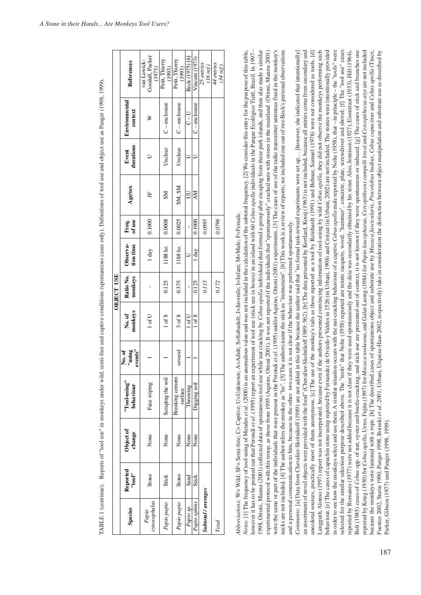|            | References                 | Goodall, Packer<br>van Lawick-<br>(1973) | Petit, Thierry<br>(1993) | Petit, Thierry<br>(1993)   | Beck (1975) [6]          | Vincent $(1973)$  | 25 entries<br>(16 ref.) | 44 entries<br>(34 ref.) |
|------------|----------------------------|------------------------------------------|--------------------------|----------------------------|--------------------------|-------------------|-------------------------|-------------------------|
|            | Environmental<br>context   | ≽                                        | $C$ – enclosure          | C-enclosure                | $U - U$                  | $C$ – enclosure   |                         |                         |
|            | Event<br>durations         |                                          | Unclear                  | Unclear                    |                          |                   |                         |                         |
|            | Age/sex                    | 円                                        | ZК                       | SM, SM                     | $\overline{U}$           | AM                |                         |                         |
|            | Freq.<br>of use            | 0.1000                                   | 0.0008                   | 0.0025                     | $\overline{\phantom{a}}$ | 0.1000            | 0.0895                  | 0.0796                  |
|            | Observa-<br>tion time      | 1 day                                    | 1188 hr.                 | 1188 hr.                   |                          | $1 \, \text{day}$ |                         |                         |
| OBJECT USE | Ratio No.<br>monkeys       | I                                        | 0.125                    | 0.375                      | $\overline{1}$           | 0.125             | 0.115                   | 0.172                   |
|            | monkeys<br>No. of          | 1 of U                                   | $1$ of $8$               | $3$ of $8$                 | $1$ of U                 | 1 of 8            |                         |                         |
|            | "using<br>events"<br>No.of |                                          |                          | several                    |                          |                   |                         |                         |
|            | "Tool-using"<br>behaviour  | Face wiping                              | Scraping the soil        | Breaking cement<br>surface | Throwing                 | Digging soil      |                         |                         |
|            | Object of<br>change        | None                                     | None                     | None                       | None                     | None              |                         |                         |
|            | Reported<br>"tool"         | Stone                                    | Stick                    | Stone                      | Sand                     | Stick             |                         |                         |
|            | Species                    | ynocephalus<br>Papio                     | Papio papio              | Papio papio                | Papio sp.                | Papio sphinx      | Subtotal / averages     | Total                   |

[ABLE 1 (continue). Reports of "tool use" in monkeys under wild, semi-free and captive conditions (spontaneous cases only). Definitions of tool use and object use as Panger (1998, 1999). TABLE 1 (continue). Reports of "tool use" in monkeys under wild, semi-free and captive conditions (spontaneous cases only). Definitions of tool use and object use as Panger (1998, 1999).

Abbreviations: W= Wild; SF= Semi-free; C= Captive; U=Unknown; A=Adult; S=Subadult; J=Juvenile; I=Infant; M=Male; F=Female. *Abbreviations:* W= Wild; SF= Semi-free; C= Captive; U=Unknown; A=Adult; S=Subadult; J=Juvenile; I=Infant; M=Male; F=Female.

998, Ottoni, Mannu (2001) collected data of spontaneous tool use while nut cracking by Cebus apella individuals that formed a group after escaping from these park islands, and then also made a similar experimental protocol with this troop, as those from 1995 (Aquino, Ottoni 2001). It was not reported if the individuals that "spontaneously" cracked nuts with stones in the mainland (Ottoni, Mannu 2001) were the same or part of the individuals that were present in the Perondi et al. (1995) and/or Aquino, Ottoni (2001) experiments. [3] The cases of use of the radio transmitter antennas fixed in the monkey's nowever it has to be pointed out that Perondi et al. (1995) report an experiment of tool use (stick use in boxes) in an island with 60 Cebus apella individuals in the Parque Ecológico Tieté, Brazil. In 1997necks are not included. [4] The author refers the monkey as "he". [5] The authors name the stick as "instrument". [6] This work is a review of reports; we included one out of two Beck's personal observations Votes: [1] The frequency of tool-using of Mendes et al. (2000) is an anomalous value and was not included in the calculation of the subtotal frequency. [2] We consider this entry for the purpose of this table, *Notes*: [1] The frequency of tool-using of Mendes *et al*. (2000) is an anomalous value and was not included in the calculation of the subtotal frequency. [2] We consider this entry for the purpose of this table, however it has to be pointed out that Perondi *et al*. (1995) report an experiment of tool use (stick use in boxes) in an island with 60 *Cebus apella* individuals in the Parque Ecológico Tietê, Brazil. In 1997– 1998, Ottoni, Mannu (2001) collected data of spontaneous tool use while nut cracking by *Cebus apella* individuals that formed a group after escaping from these park islands, and then also made a similar experimental protocol with this troop, as those from 1995 (Aquino, Ottoni 2001). It was not reported if the individuals that "spontaneously" cracked nuts with stones in the mainland (Ottoni, Mannu 2001) were the same or part of the individuals that were present in the Perondi *et al.* (1995) and/or Aquino, Ottoni (2001) experiments. [3] The cases of use of the radio transmitter antennas fixed in the monkey's necks are not included. [4] The author refers the monkey as "he". [5] The authors name the stick as "instrument". [6] This work is a review of reports; we included one out of two Beck's personal observations and a personal communication to him, because in the other two cases it is not clear if the behaviour was performed spontaneously. and a personal communication to him, because in the other two cases it is not clear if the behaviour was performed spontaneously.

n order to see how the monkeys select and use them. A similar situation occurs with the nut-cracking behaviour of a captive Cebus apella male reported by Nolte (1958), that - in principle - the "tools" were selected for the similar selection purpose described above. The "tools" that Nolte (1958) reported are termis racquets, wood, "hammer", concrete, plate, screwdriver and shovel; [f] The "tool use" cases Comments: [a] Data from Chevalier-Skolnikoff (1989) are not added in this table because the author said that "no formal task-reward experiments were set up... [however, she indicated that intentionally] m assortment of novel objects were provided with the food" (Chevalier-Skolnikoff 1989: 562). [b] The data presented by Kortlard, Kooij (1963) is not included, because all entries come from secondary and mecdotal sources, practically most of them anonymous. [c] The use of the monkey's tails as those reported as a tool by Reinhardt (1991) and Behnar, Samuel (1978) were not considered as tools. [d] angguth, Alonso (1997) report was not incorporated, because even if the authors presented convincing information of tool-using by wild Cebus apella, they did not observe the monkeys performing such behaviour. [e] The cases of capuchin stone using reported by Fernandez de Oviedo y Valdes in 1526 (in Urbani, 1998) and Croizat (in Urbani, 2002) are not included. The stones were intentionally provided eported by Romanes (1977) were not added because it is not clear if they were used spontaneously and the data was secondarily obtained by his sister. Also, Jennison (1927), Eisentraut (1933), Hill (1964), elt (1985) cases of Cebus spp. of nut, oyster and beetle-cracking, and stick use are presented out of context, it is not known if they were spontaneous or induced. [g] The cases of stick and branches use eported by Krieg (1930) for Cebus apella, Ueno, Fujita (1997) for Macaca tonkeana, and Galat-Luong (1984) for Papio leucophaeus, Cercopithecus campelli lowei and Cercopithecus atys are not included uentes 2002, Starin 1990, Panger 1998, Boinski et al. 2001, Urbani, Urquiza-Haas 2002, respectively) take in consideration the distinction between object manipulation and substrate use as described by *Comments*: [a] Data from Chevalier-Skolnikoff (1989) are not added in this table because the author said that "no formal task-reward experiments were set up… [however, she indicated that intentionally] an assortment of novel objects were provided with the food" (Chevalier-Skolnikoff 1989: 562). [b] The data presented by Kortlard, Kooij (1963) is not included, because all entries come from secondary and anecdotal sources, practically most of them anonymous. [c] The use of the monkey's tails as those reported as a tool by Reinhardt (1991) and Behnar, Samuel (1978) were not considered as tools. [d] Langguth, Alonso (1997) report was not incorporated, because even if the authors presented convincing information of tool-using by wild *Cebus apella*, they did not observe the monkeys performing such behaviour. [e] The cases of capuchin stone using reported by Fernandez de Oviedo y Valdes in 1526 (in Urbani, 1998) and Croizat (in Urbani, 2002) are not included. The stones were intentionally provided in order to see how the monkeys select and use them. A similar situation occurs with the nut-cracking behaviour of a captive *Cebus apella* male reported by Nolte (1958), that – in principle – the "tools" were selected for the similar selection purpose described above. The "tools" that Nolte (1958) reported are tennis racquets, wood, "hammer", concrete, plate, screwdriver and shovel; [f] The "tool use" cases reported by Romanes (1977) were not added because it is not clear if they were used spontaneously and the data was secondarily obtained by his sister. Also, Jennison (1927), Eisentraut (1933), Hill (1964), Belt (1985) cases of *Cebus* spp. of nut, oyster and beetle-cracking, and stick use are presented out of context, it is not known if they were spontaneous or induced. [g] The cases of stick and branches use reported by Krieg (1930) for Cebus apella, Ueno, Fujita (1997) for Macaca tonkeana, and Galat-Luong (1984) for Papio leucophaeus, Cercopithecus campelli lowei and Cercopithecus are not included because the monkeys were fastened with a rope. [h] The described cases of spontaneous object and substrate use by *Macaca fascicularis*, *Procolobus badius*, *Cebus capucinus* and *Cebus apella* (Truce, because the monkeys were fastened with a rope. [h] The described cases of spontaneous object and substrate use by *Macaca fascicularis*, *Procolobus badius*, *Cebus capucinus* and *Cebus apella* (Truce, Fuentes 2002, Starin 1990, Panger 1998, Boinski *et al*. 2001, Urbani, Urquiza-Haas 2002, respectively) take in consideration the distinction between object manipulation and substrate use as described by Parker, Gibson (1977) and Panger (1998, 1999). Parker, Gibson (1977) and Panger (1998, 1999).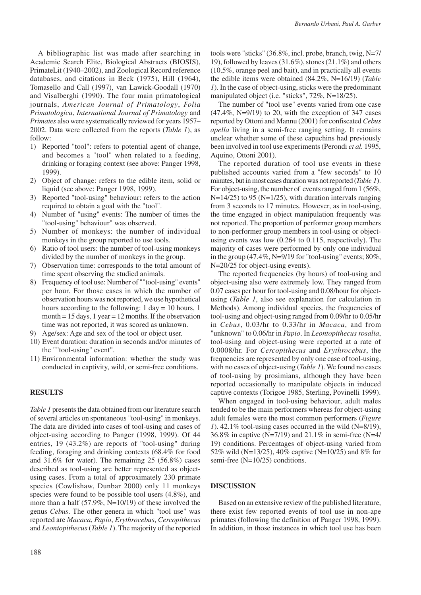A bibliographic list was made after searching in Academic Search Elite, Biological Abstracts (BIOSIS), PrimateLit (1940–2002), and Zoological Record reference databases, and citations in Beck (1975), Hill (1964), Tomasello and Call (1997), van Lawick-Goodall (1970) and Visalberghi (1990). The four main primatological journals, *American Journal of Primatology*, *Folia Primatologica*, *International Journal of Primatology* and *Primates* also were systematically reviewed for years 1957– 2002. Data were collected from the reports (*Table 1*), as follow:

- 1) Reported "tool": refers to potential agent of change, and becomes a "tool" when related to a feeding, drinking or foraging context (see above: Panger 1998, 1999).
- 2) Object of change: refers to the edible item, solid or liquid (see above: Panger 1998, 1999).
- 3) Reported "tool-using" behaviour: refers to the action required to obtain a goal with the "tool".
- 4) Number of "using" events: The number of times the "tool-using" behaviour" was observed.
- 5) Number of monkeys: the number of individual monkeys in the group reported to use tools.
- 6) Ratio of tool users: the number of tool-using monkeys divided by the number of monkeys in the group.
- 7) Observation time: corresponds to the total amount of time spent observing the studied animals.
- 8) Frequency of tool use: Number of ""tool-using" events" per hour. For those cases in which the number of observation hours was not reported, we use hypothetical hours according to the following:  $1 \text{ day} = 10 \text{ hours}, 1$ month  $= 15$  days, 1 year  $= 12$  months. If the observation time was not reported, it was scored as unknown.
- 9) Age/sex: Age and sex of the tool or object user.
- 10) Event duration: duration in seconds and/or minutes of the ""tool-using" event".
- 11) Environmental information: whether the study was conducted in captivity, wild, or semi-free conditions.

# **RESULTS**

*Table 1* presents the data obtained from our literature search of several articles on spontaneous "tool-using" in monkeys. The data are divided into cases of tool-using and cases of object-using according to Panger (1998, 1999). Of 44 entries, 19 (43.2%) are reports of "tool-using" during feeding, foraging and drinking contexts (68.4% for food and 31.6% for water). The remaining 25 (56.8%) cases described as tool-using are better represented as objectusing cases. From a total of approximately 230 primate species (Cowlishaw, Dunbar 2000) only 11 monkeys species were found to be possible tool users (4.8%), and more than a half (57.9%, N=10/19) of these involved the genus *Cebus*. The other genera in which "tool use" was reported are *Macaca*, *Papio*, *Erythrocebus*, *Cercopithecus* and *Leontopithecus* (*Table 1*). The majority of the reported tools were "sticks" (36.8%, incl. probe, branch, twig, N=7/ 19), followed by leaves (31.6%), stones (21.1%) and others (10.5%, orange peel and bait), and in practically all events the edible items were obtained (84.2%, N=16/19) (*Table 1*). In the case of object-using, sticks were the predominant manipulated object (i.e. "sticks", 72%, N=18/25).

The number of "tool use" events varied from one case  $(47.4\%, N=9/19)$  to 20, with the exception of 347 cases reported by Ottoni and Mannu (2001) for confiscated *Cebus apella* living in a semi-free ranging setting. It remains unclear whether some of these capuchins had previously been involved in tool use experiments (Perondi *et al.* 1995, Aquino, Ottoni 2001).

The reported duration of tool use events in these published accounts varied from a "few seconds" to 10 minutes, but in most cases duration was not reported (*Table 1*). For object-using, the number of events ranged from 1 (56%,  $N=14/25$ ) to 95 ( $N=1/25$ ), with duration intervals ranging from 3 seconds to 17 minutes. However, as in tool-using, the time engaged in object manipulation frequently was not reported. The proportion of performer group members to non-performer group members in tool-using or objectusing events was low (0.264 to 0.115, respectively). The majority of cases were performed by only one individual in the group  $(47.4\%, N=9/19$  for "tool-using" events;  $80\%,$ N=20/25 for object-using events).

The reported frequencies (by hours) of tool-using and object-using also were extremely low. They ranged from 0.07 cases per hour for tool-using and 0.08/hour for objectusing (*Table 1*, also see explanation for calculation in Methods). Among individual species, the frequencies of tool-using and object-using ranged from 0.09/hr to 0.05/hr in *Cebus*, 0.03/hr to 0.33/hr in *Macaca*, and from "unknown" to 0.06/hr in *Papio*. In *Leontopithecus rosalia*, tool-using and object-using were reported at a rate of 0.0008/hr. For *Cercopithecus* and *Erythrocebus*, the frequencies are represented by only one case of tool-using, with no cases of object-using (*Table 1*). We found no cases of tool-using by prosimians, although they have been reported occasionally to manipulate objects in induced captive contexts (Torigoe 1985, Sterling, Povinelli 1999).

When engaged in tool-using behaviour, adult males tended to be the main performers whereas for object-using adult females were the most common performers (*Figure 1*). 42.1% tool-using cases occurred in the wild (N=8/19), 36.8% in captive (N=7/19) and 21.1% in semi-free (N=4/ 19) conditions. Percentages of object-using varied from 52% wild (N=13/25), 40% captive (N=10/25) and 8% for semi-free (N=10/25) conditions.

# **DISCUSSION**

Based on an extensive review of the published literature, there exist few reported events of tool use in non-ape primates (following the definition of Panger 1998, 1999). In addition, in those instances in which tool use has been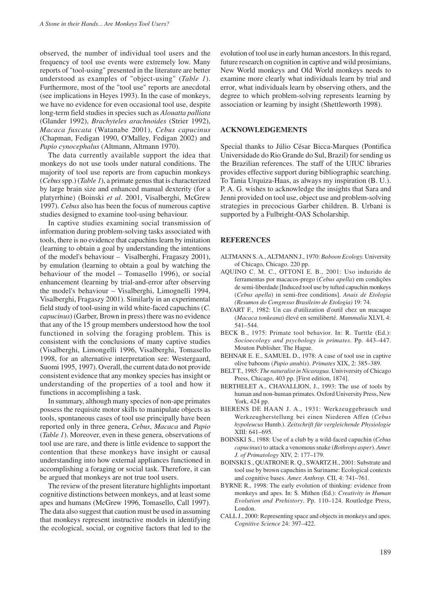observed, the number of individual tool users and the frequency of tool use events were extremely low. Many reports of "tool-using" presented in the literature are better understood as examples of "object-using" (*Table 1*). Furthermore, most of the "tool use" reports are anecdotal (see implications in Heyes 1993). In the case of monkeys, we have no evidence for even occasional tool use, despite long-term field studies in species such as *Alouatta palliata* (Glander 1992), *Brachyteles arachnoides* (Strier 1992), *Macaca fuscata* (Watanabe 2001), *Cebus capucinus* (Chapman, Fedigan 1990, O'Malley, Fedigan 2002) and *Papio cynocephalus* (Altmann, Altmann 1970).

The data currently available support the idea that monkeys do not use tools under natural conditions. The majority of tool use reports are from capuchin monkeys (*Cebus* spp.) (*Table 1*), a primate genus that is characterized by large brain size and enhanced manual dexterity (for a platyrrhine) (Boinski *et al*. 2001, Visalberghi, McGrew 1997). *Cebus* also has been the focus of numerous captive studies designed to examine tool-using behaviour.

In captive studies examining social transmission of information during problem-solving tasks associated with tools, there is no evidence that capuchins learn by imitation (learning to obtain a goal by understanding the intentions of the model's behaviour – Visalberghi, Fragaszy 2001), by emulation (learning to obtain a goal by watching the behaviour of the model – Tomasello 1996), or social enhancement (learning by trial-and-error after observing the model's behaviour – Visalberghi, Limognelli 1994, Visalberghi, Fragaszy 2001). Similarly in an experimental field study of tool-using in wild white-faced capuchins (*C. capucinus*) (Garber, Brown in press) there was no evidence that any of the 15 group members understood how the tool functioned in solving the foraging problem. This is consistent with the conclusions of many captive studies (Visalberghi, Limongelli 1996, Visalberghi, Tomasello 1998, for an alternative interpretation see: Westergaard, Suomi 1995, 1997). Overall, the current data do not provide consistent evidence that any monkey species has insight or understanding of the properties of a tool and how it functions in accomplishing a task.

In summary, although many species of non-ape primates possess the requisite motor skills to manipulate objects as tools, spontaneous cases of tool use principally have been reported only in three genera, *Cebus*, *Macaca* and *Papio* (*Table 1*). Moreover, even in these genera, observations of tool use are rare, and there is little evidence to support the contention that these monkeys have insight or causal understanding into how external appliances functioned in accomplishing a foraging or social task. Therefore, it can be argued that monkeys are not true tool users.

The review of the present literature highlights important cognitive distinctions between monkeys, and at least some apes and humans (McGrew 1996, Tomasello, Call 1997). The data also suggest that caution must be used in assuming that monkeys represent instructive models in identifying the ecological, social, or cognitive factors that led to the evolution of tool use in early human ancestors. In this regard, future research on cognition in captive and wild prosimians, New World monkeys and Old World monkeys needs to examine more clearly what individuals learn by trial and error, what individuals learn by observing others, and the degree to which problem-solving represents learning by association or learning by insight (Shettleworth 1998).

### **ACKNOWLEDGEMENTS**

Special thanks to Júlio César Bicca-Marques (Pontifica Universidade do Rio Grande do Sul, Brazil) for sending us the Brazilian references. The staff of the UIUC libraries provides effective support during bibliographic searching. To Tania Urquiza-Haas, as always my inspiration (B. U.). P. A. G. wishes to acknowledge the insights that Sara and Jenni provided on tool use, object use and problem-solving strategies in precocious Garber children. B. Urbani is supported by a Fulbright-OAS Scholarship.

#### **REFERENCES**

- ALTMANN S. A., ALTMANN J., 1970: *Baboon Ecology.* University of Chicago, Chicago. 220 pp.
- AQUINO C. M. C., OTTONI E. B., 2001: Uso induzido de ferramentas por macacos-prego (*Cebus apella*) em condições de semi-liberdade [Induced tool use by tufted capuchin monkeys (*Cebus apella*) in semi-free conditions]. *Anais de Etologia (Resumos do Congresso Brasileiro de Etologia)* 19: 74.
- BAYART F., 1982: Un cas d'utilization d'outil chez un macaque (*Macaca tonkeana*) élevé en semiliberté. *Mammalia* XLVI, 4: 541–544.
- BECK B., 1975: Primate tool behavior. In: R. Turttle (Ed.): *Socioecology and psychology in primates*. Pp. 443–447. Mouton Publisher. The Hague.
- BEHNAR E. E., SAMUEL D., 1978: A case of tool use in captive olive baboons (*Papio anubis*). *Primates* XIX, 2: 385–389.
- BELT T., 1985: *The naturalist in Nicaragua*. Univiversity of Chicago Press, Chicago, 403 pp. [First edition, 1874].
- BERTHELET A., CHAVALLION, J., 1993: The use of tools by human and non-human primates. Oxford University Press, New York, 424 pp.
- BIERENS DE HAAN J. A., 1931: Werkzeuggebrauch und Werkzeugherstellung bei einen Niederen Affen (*Cebus hypoleucus* Humb.). *Zeitschrift für vergleichende Physiologie* XIII: 641–695.
- BOINSKI S., 1988: Use of a club by a wild-faced capuchin (*Cebus capucinus*) to attack a venomous snake (*Bothrops asper*). *Amer. J. of Primatology* XIV, 2: 177–179.
- BOINSKI S., QUATRONE R. Q., SWARTZ H., 2001: Substrate and tool use by brown capuchins in Suriname: Ecological contexts and cognitive bases. *Amer. Anthrop.* CII, 4: 741–761.
- BYRNE R., 1998: The early evolution of thinking: evidence from monkeys and apes. In: S. Mithen (Ed.): *Creativity in Human Evolution and Prehistory*. Pp. 110–124. Routledge Press, London.
- CALL J., 2000: Representing space and objects in monkeys and apes. *Cognitive Science* 24: 397–422.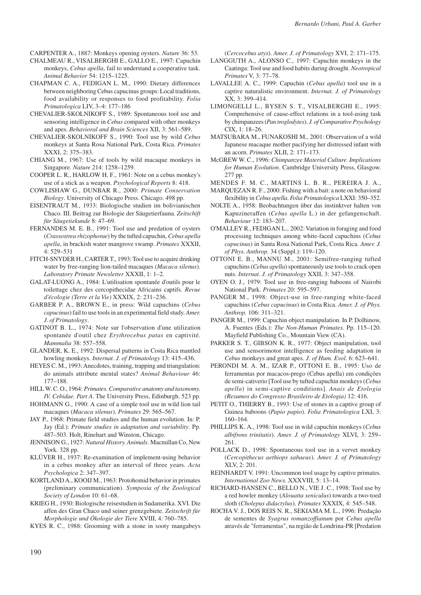CARPENTER A., 1887: Monkeys opening oysters. *Nature* 36: 53.

- CHALMEAU R., VISALBERGHI E., GALLO E., 1997: Capuchin monkeys, *Cebus apella*, fail to understand a cooperative task. *Animal Behavior* 54: 1215–1225.
- CHAPMAN C. A., FEDIGAN L. M., 1990: Dietary differences between neighboring Cebus capucinus groups: Local traditions, food availability or responses to food profitability. *Folia Primatologica* LIV, 3–4: 177–186
- CHEVALIER-SKOLNIKOFF S., 1989: Spontaneous tool use and sensoring intelligence in *Cebus* compared with other monkeys and apes. *Behavioral and Brain Sciences* XII, 3: 561–589.
- CHEVALIER-SKOLNIKOFF S., 1990: Tool use by wild *Cebus* monkeys at Santa Rosa National Park, Costa Rica. *Primates* XXXI, 2: 375–383.
- CHIANG M., 1967: Use of tools by wild macaque monkeys in Singapore. *Nature* 214: 1258–1259.
- COOPER L. R., HARLOW H. F., 1961: Note on a cebus monkey's use of a stick as a weapon. *Psychological Reports* 8: 418.
- COWLISHAW G., DUNBAR R., 2000: *Primate Conservation Biology*. University of Chicago Press. Chicago. 498 pp.
- EISENTRAUT M., 1933: Biologische studien im bolivianischen Chaco. III. Beitrag zur Biologie der Säugetierfauna. *Zeitschift für Säugetiekunde* 8: 47–69.
- FERNANDES M. E. B., 1991: Tool use and predation of oysters (*Crassostrea rhizophorae*) by the tufted capuchin, *Cebus apella apella*, in brackish water mangrove swamp. *Primates* XXXII, 4: 529–531
- FITCH-SNYDER H., CARTER T., 1993: Tool use to acquire drinking water by free-ranging lion-tailed macaques (*Macaca silenus*). *Laboratory Primate Newsletter* XXXII, 1: 1–2.
- GALAT-LUONG A., 1984: L'utilisation spontanée d'outils pour le toilettage chez des cercopithecidae Africains captifs. *Revue d'écologie (Terre et la Vie)* XXXIX, 2: 231–236.
- GARBER P. A., BROWN E., in press: Wild capuchins (*Cebus capucinus*) fail to use tools in an experimental field study. *Amer. J. of Primatology*.
- GATINOT B. L., 1974: Note sur l'observation d'une utilization spontanée d'outil chez *Erythrocebus patas* en captivité. *Mammalia* 38: 557–558.
- GLANDER, K. E., 1992: Dispersal patterns in Costa Rica mantled howling monkeys. *Internat. J. of Primatology* 13: 415–436.
- HEYES C. M., 1993: Anecdotes, training, trapping and triangulation: do animals attribute mental states? *Animal Behaviour* 46: 177–188.
- HILL W. C. O., 1964: *Primates. Comparative anatomy and taxonomy. IV. Cebidae. Part A*. The University Press, Edinburgh. 523 pp.
- HOHMANN G., 1990: A case of a simple tool use in wild lion tail macaques (*Macaca silenus*). *Primates* 29: 565–567.
- JAY P., 1968: Primate field studies and the human evolution. In: P. Jay (Ed.): *Primate studies in adaptation and variability*. Pp. 487–503. Holt, Rinehart and Winston, Chicago.
- JENNISON G., 1927: *Natural History. Animals*. Macmillan Co, New York. 328 pp.
- KLÜVER H., 1937: Re-examination of implement-using behavior in a cebus monkey after an interval of three years. *Acta Psychologica* 2: 347–397.
- KORTLAND A., KOOIJ M., 1963: Protohomid behavior in primates (preliminary communication). *Symposia of the Zoological Society of London* 10: 61–68.
- KRIEG H., 1930: Biologische reisestudien in Sudamerika. XVI. Die affen des Gran Chaco und seiner grenzgebiete. *Zeitschrift für Morphologie und Ökologie der Tiere* XVIII, 4: 760–785.

KYES R. C., 1988: Grooming with a stone in sooty mangabeys

(*Cercocebus atys*). *Amer. J. of Primatology* XVI, 2: 171–175.

- LANGGUTH A., ALONSO C., 1997: Capuchin monkeys in the Caatinga: Tool use and food habits during drought. *Neotropical Primates* V, 3: 77–78.
- LAVALLEE A. C., 1999: Capuchin (*Cebus apella*) tool use in a captive naturalistic environment. *Internat. J. of Primatology* XX, 3: 399–414.
- LIMONGELLI L., BYSEN S. T., VISALBERGHI E., 1995: Comprehensive of cause-effect relations in a tool-using task by chimpanzees (*Pan troglodytes*). *J. of Comparative Psychology*  $CIX$  1: 18–26.
- MATSUBARA M., FUNAKOSHI M., 2001: Observation of a wild Japanese macaque mother pacifying her distressed infant with an acorn. *Primates* XLII, 2: 171–173.
- McGREW W. C., 1996: *Chimpanzee Material Culture. Implications for Human Evolution*. Cambridge University Press, Glasgow. 277 pp.
- MENDES F. M. C., MARTINS L. B. R., PEREIRA J. A.,
- MARQUEZAN R. F., 2000: Fishing with a bait: a note on behavioral flexibility in *Cebus apella*. *Folia Primatologica* LXXI: 350–352.
- NOLTE A., 1958: Beobachtungen über das instinktver halten von Kapuzineraffen (*Cebus apella* L.) in der gefangenschaft. *Behaviour* 12: 183–207.
- O'MALLEY R., FEDIGAN L., 2002: Variation in foraging and food processing techniques among white-faced capuchins (*Cebus capucinus*) in Santa Rosa National Park, Costa Rica. *Amer. J. of Phys. Anthrop.* 34 (Suppl.): 119–120.
- OTTONI E. B., MANNU M., 2001: Semifree-ranging tufted capuchins (*Cebus apella*) spontaneously use tools to crack open nuts. *Internat. J. of Primatology* XXII, 3: 347–358.
- OYEN O. J., 1979: Tool use in free-ranging baboons of Nairobi National Park. *Primates* 20: 595–597.
- PANGER M., 1998: Object-use in free-ranging white-faced capuchins (*Cebus capucinus*) in Costa Rica. *Amer. J. of Phys. Anthrop.* 106: 311–321.
- PANGER M., 1999: Capuchin object manipulation. In P. Dolhinow, A. Fuentes (Eds.): *The Non-Human Primates*. Pp. 115–120. Mayfield Publishing Co., Mountain View (CA).
- PARKER S. T., GIBSON K. R., 1977: Object manipulation, tool use and sensorimotor intelligence as feeding adaptation in *Cebus* monkeys and great apes. *J. of Hum. Evol.* 6: 623–641.
- PERONDI M. A. M., IZAR P., OTTONI E. B., 1995: Uso de ferramentas por macacos-prego (Cebus apella) em condições de semi-cativerio [Tool use by tufted capuchin monkeys (*Cebus apella*) in semi-captive conditions]. *Anais de Etologia (Resumos do Congresso Brasileiro de Etologia)* 12: 416.
- PETIT O., THIERRY B., 1993: Use of stones in a captive group of Guinea baboons (*Papio papio*). *Folia Primatologica* LXI, 3: 160–164.
- PHILLIPS K. A., 1998: Tool use in wild capuchin monkeys (*Cebus albifrons trinitatis*). *Amer. J. of Primatology* XLVI, 3: 259– 261.
- POLLACK D., 1998: Spontaneous tool use in a vervet monkey (*Cercopithecus aethiops sabaeus*). *Amer. J. of Primatology* XLV, 2: 201.
- REINHARDT V. 1991: Uncommon tool usage by captive primates. *International Zoo News*. XXXVIII, 5: 13–14.
- RICHARD-HANSEN C., BELLO N., VIE J. C., 1998: Tool use by a red howler monkey (*Alouatta seniculus*) towards a two-toed sloth (*Cholepus didactylus*). *Primates* XXXIX, 4: 545–548.
- ROCHA V. J., DOS REIS N. R., SEKIAMA M. L., 1996: Predação de sementes de *Syagrus romanzoffianum* por *Cebus apella* através de "ferramentas", na região de Londrina-PR [Predation